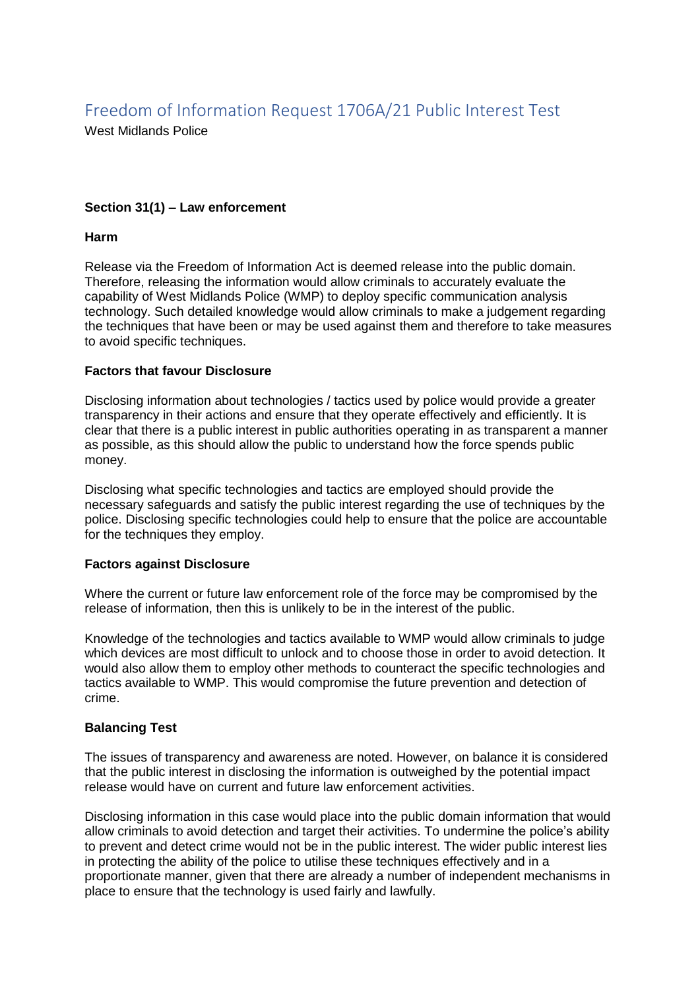# Freedom of Information Request 1706A/21 Public Interest Test

West Midlands Police

## **Section 31(1) – Law enforcement**

### **Harm**

Release via the Freedom of Information Act is deemed release into the public domain. Therefore, releasing the information would allow criminals to accurately evaluate the capability of West Midlands Police (WMP) to deploy specific communication analysis technology. Such detailed knowledge would allow criminals to make a judgement regarding the techniques that have been or may be used against them and therefore to take measures to avoid specific techniques.

### **Factors that favour Disclosure**

Disclosing information about technologies / tactics used by police would provide a greater transparency in their actions and ensure that they operate effectively and efficiently. It is clear that there is a public interest in public authorities operating in as transparent a manner as possible, as this should allow the public to understand how the force spends public money.

Disclosing what specific technologies and tactics are employed should provide the necessary safeguards and satisfy the public interest regarding the use of techniques by the police. Disclosing specific technologies could help to ensure that the police are accountable for the techniques they employ.

## **Factors against Disclosure**

Where the current or future law enforcement role of the force may be compromised by the release of information, then this is unlikely to be in the interest of the public.

Knowledge of the technologies and tactics available to WMP would allow criminals to judge which devices are most difficult to unlock and to choose those in order to avoid detection. It would also allow them to employ other methods to counteract the specific technologies and tactics available to WMP. This would compromise the future prevention and detection of crime.

## **Balancing Test**

The issues of transparency and awareness are noted. However, on balance it is considered that the public interest in disclosing the information is outweighed by the potential impact release would have on current and future law enforcement activities.

Disclosing information in this case would place into the public domain information that would allow criminals to avoid detection and target their activities. To undermine the police's ability to prevent and detect crime would not be in the public interest. The wider public interest lies in protecting the ability of the police to utilise these techniques effectively and in a proportionate manner, given that there are already a number of independent mechanisms in place to ensure that the technology is used fairly and lawfully.